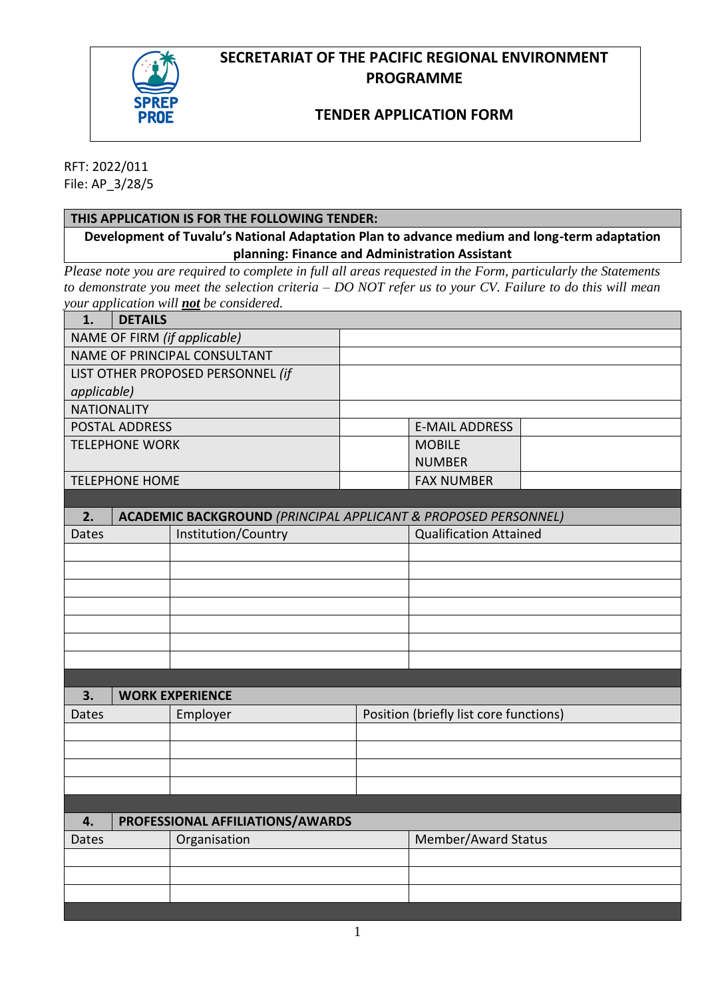# **SECRETARIAT OF THE PACIFIC REGIONAL ENVIRONMENT PROGRAMME**



## **TENDER APPLICATION FORM**

RFT: 2022/011 File: AP\_3/28/5

#### **THIS APPLICATION IS FOR THE FOLLOWING TENDER:**

**Development of Tuvalu's National Adaptation Plan to advance medium and long-term adaptation planning: Finance and Administration Assistant**

*Please note you are required to complete in full all areas requested in the Form, particularly the Statements to demonstrate you meet the selection criteria – DO NOT refer us to your CV. Failure to do this will mean your application will not be considered.*

| 1.                                | <b>DETAILS</b> | om appnemon was <u>not</u> oc constanted.                                 |                                        |                               |  |
|-----------------------------------|----------------|---------------------------------------------------------------------------|----------------------------------------|-------------------------------|--|
| NAME OF FIRM (if applicable)      |                |                                                                           |                                        |                               |  |
| NAME OF PRINCIPAL CONSULTANT      |                |                                                                           |                                        |                               |  |
| LIST OTHER PROPOSED PERSONNEL (if |                |                                                                           |                                        |                               |  |
| applicable)                       |                |                                                                           |                                        |                               |  |
| <b>NATIONALITY</b>                |                |                                                                           |                                        |                               |  |
| <b>POSTAL ADDRESS</b>             |                |                                                                           |                                        | <b>E-MAIL ADDRESS</b>         |  |
| <b>TELEPHONE WORK</b>             |                |                                                                           |                                        | <b>MOBILE</b>                 |  |
|                                   |                |                                                                           |                                        | <b>NUMBER</b>                 |  |
| <b>TELEPHONE HOME</b>             |                |                                                                           |                                        | <b>FAX NUMBER</b>             |  |
|                                   |                |                                                                           |                                        |                               |  |
| 2.                                |                | <b>ACADEMIC BACKGROUND (PRINCIPAL APPLICANT &amp; PROPOSED PERSONNEL)</b> |                                        |                               |  |
| <b>Dates</b>                      |                | Institution/Country                                                       |                                        | <b>Qualification Attained</b> |  |
|                                   |                |                                                                           |                                        |                               |  |
|                                   |                |                                                                           |                                        |                               |  |
|                                   |                |                                                                           |                                        |                               |  |
|                                   |                |                                                                           |                                        |                               |  |
|                                   |                |                                                                           |                                        |                               |  |
|                                   |                |                                                                           |                                        |                               |  |
|                                   |                |                                                                           |                                        |                               |  |
|                                   |                |                                                                           |                                        |                               |  |
| 3.                                |                | <b>WORK EXPERIENCE</b>                                                    |                                        |                               |  |
| Employer<br>Dates                 |                |                                                                           | Position (briefly list core functions) |                               |  |

| Dales | <b>Ellipioyer</b>                | <b>PUSICION (DITENTY ASE COTE TUNICIONS)</b> |
|-------|----------------------------------|----------------------------------------------|
|       |                                  |                                              |
|       |                                  |                                              |
|       |                                  |                                              |
|       |                                  |                                              |
|       |                                  |                                              |
| 4.    | PROFESSIONAL AFFILIATIONS/AWARDS |                                              |
| Dates | Organisation                     | Member/Award Status                          |
|       |                                  |                                              |
|       |                                  |                                              |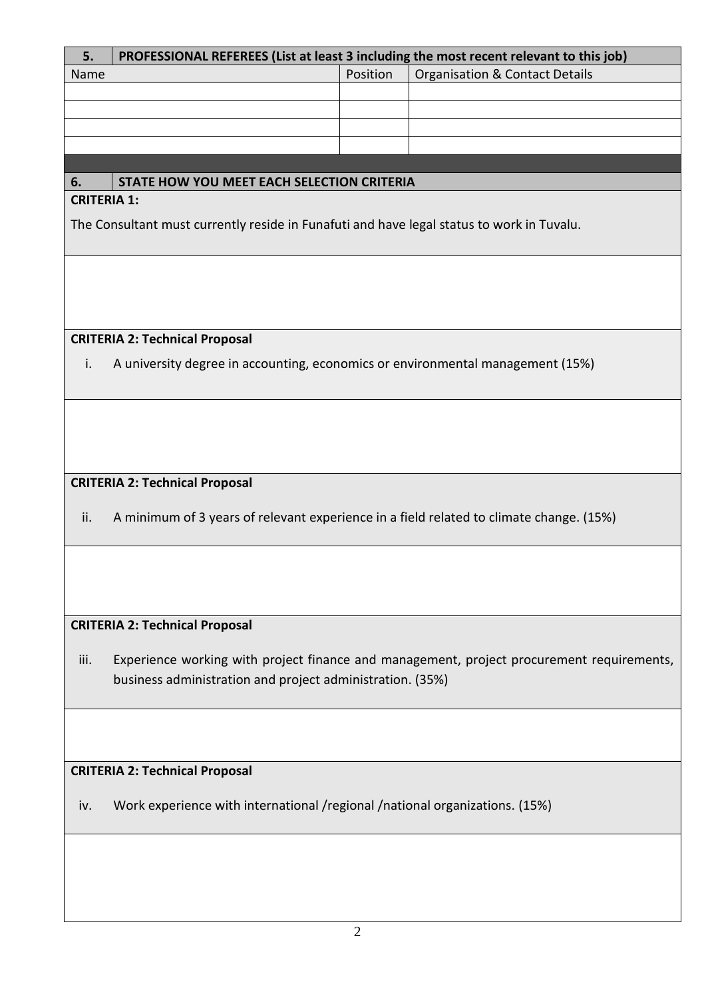| 5.                                    | PROFESSIONAL REFEREES (List at least 3 including the most recent relevant to this job)    |          |                                                                                           |  |
|---------------------------------------|-------------------------------------------------------------------------------------------|----------|-------------------------------------------------------------------------------------------|--|
| Name                                  |                                                                                           | Position | <b>Organisation &amp; Contact Details</b>                                                 |  |
|                                       |                                                                                           |          |                                                                                           |  |
|                                       |                                                                                           |          |                                                                                           |  |
|                                       |                                                                                           |          |                                                                                           |  |
|                                       |                                                                                           |          |                                                                                           |  |
|                                       |                                                                                           |          |                                                                                           |  |
| 6.                                    | STATE HOW YOU MEET EACH SELECTION CRITERIA                                                |          |                                                                                           |  |
| <b>CRITERIA 1:</b>                    |                                                                                           |          |                                                                                           |  |
|                                       | The Consultant must currently reside in Funafuti and have legal status to work in Tuvalu. |          |                                                                                           |  |
|                                       |                                                                                           |          |                                                                                           |  |
|                                       |                                                                                           |          |                                                                                           |  |
|                                       |                                                                                           |          |                                                                                           |  |
|                                       |                                                                                           |          |                                                                                           |  |
|                                       |                                                                                           |          |                                                                                           |  |
|                                       | <b>CRITERIA 2: Technical Proposal</b>                                                     |          |                                                                                           |  |
| i.                                    | A university degree in accounting, economics or environmental management (15%)            |          |                                                                                           |  |
|                                       |                                                                                           |          |                                                                                           |  |
|                                       |                                                                                           |          |                                                                                           |  |
|                                       |                                                                                           |          |                                                                                           |  |
|                                       |                                                                                           |          |                                                                                           |  |
|                                       |                                                                                           |          |                                                                                           |  |
|                                       | <b>CRITERIA 2: Technical Proposal</b>                                                     |          |                                                                                           |  |
|                                       |                                                                                           |          |                                                                                           |  |
| ii.                                   | A minimum of 3 years of relevant experience in a field related to climate change. (15%)   |          |                                                                                           |  |
|                                       |                                                                                           |          |                                                                                           |  |
|                                       |                                                                                           |          |                                                                                           |  |
|                                       |                                                                                           |          |                                                                                           |  |
|                                       |                                                                                           |          |                                                                                           |  |
|                                       |                                                                                           |          |                                                                                           |  |
|                                       | <b>CRITERIA 2: Technical Proposal</b>                                                     |          |                                                                                           |  |
|                                       |                                                                                           |          |                                                                                           |  |
| iii.                                  |                                                                                           |          | Experience working with project finance and management, project procurement requirements, |  |
|                                       | business administration and project administration. (35%)                                 |          |                                                                                           |  |
|                                       |                                                                                           |          |                                                                                           |  |
|                                       |                                                                                           |          |                                                                                           |  |
|                                       |                                                                                           |          |                                                                                           |  |
|                                       |                                                                                           |          |                                                                                           |  |
| <b>CRITERIA 2: Technical Proposal</b> |                                                                                           |          |                                                                                           |  |
|                                       |                                                                                           |          |                                                                                           |  |
| iv.                                   | Work experience with international /regional /national organizations. (15%)               |          |                                                                                           |  |
|                                       |                                                                                           |          |                                                                                           |  |
|                                       |                                                                                           |          |                                                                                           |  |
|                                       |                                                                                           |          |                                                                                           |  |
|                                       |                                                                                           |          |                                                                                           |  |
|                                       |                                                                                           |          |                                                                                           |  |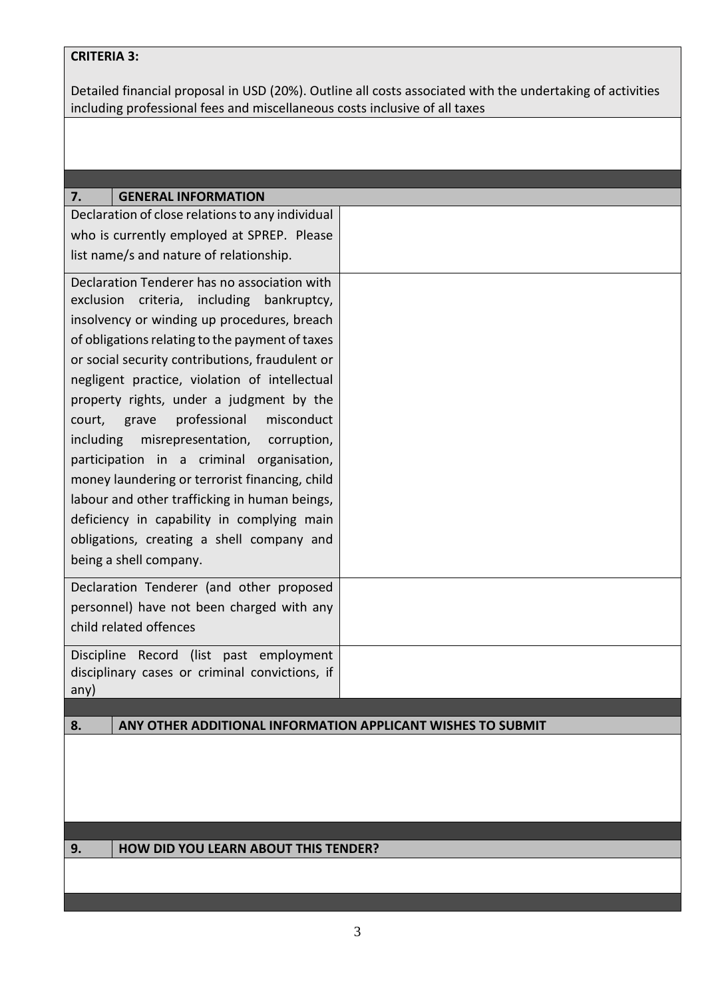## **CRITERIA 3:**

Detailed financial proposal in USD (20%). Outline all costs associated with the undertaking of activities including professional fees and miscellaneous costs inclusive of all taxes

| <b>GENERAL INFORMATION</b><br>7.                                  |  |  |
|-------------------------------------------------------------------|--|--|
| Declaration of close relations to any individual                  |  |  |
| who is currently employed at SPREP. Please                        |  |  |
| list name/s and nature of relationship.                           |  |  |
|                                                                   |  |  |
| Declaration Tenderer has no association with                      |  |  |
| criteria, including bankruptcy,<br>exclusion                      |  |  |
| insolvency or winding up procedures, breach                       |  |  |
| of obligations relating to the payment of taxes                   |  |  |
| or social security contributions, fraudulent or                   |  |  |
| negligent practice, violation of intellectual                     |  |  |
| property rights, under a judgment by the                          |  |  |
| professional<br>misconduct<br>court,<br>grave                     |  |  |
|                                                                   |  |  |
| including<br>misrepresentation,<br>corruption,                    |  |  |
| participation in a criminal organisation,                         |  |  |
| money laundering or terrorist financing, child                    |  |  |
| labour and other trafficking in human beings,                     |  |  |
| deficiency in capability in complying main                        |  |  |
| obligations, creating a shell company and                         |  |  |
| being a shell company.                                            |  |  |
|                                                                   |  |  |
| Declaration Tenderer (and other proposed                          |  |  |
| personnel) have not been charged with any                         |  |  |
| child related offences                                            |  |  |
| Discipline Record (list past employment                           |  |  |
| disciplinary cases or criminal convictions, if                    |  |  |
| any)                                                              |  |  |
|                                                                   |  |  |
| 8.<br>ANY OTHER ADDITIONAL INFORMATION APPLICANT WISHES TO SUBMIT |  |  |
|                                                                   |  |  |
|                                                                   |  |  |
|                                                                   |  |  |
|                                                                   |  |  |
|                                                                   |  |  |
| <b>HOW DID YOU LEARN ABOUT THIS TENDER?</b><br>9.                 |  |  |
|                                                                   |  |  |
|                                                                   |  |  |
|                                                                   |  |  |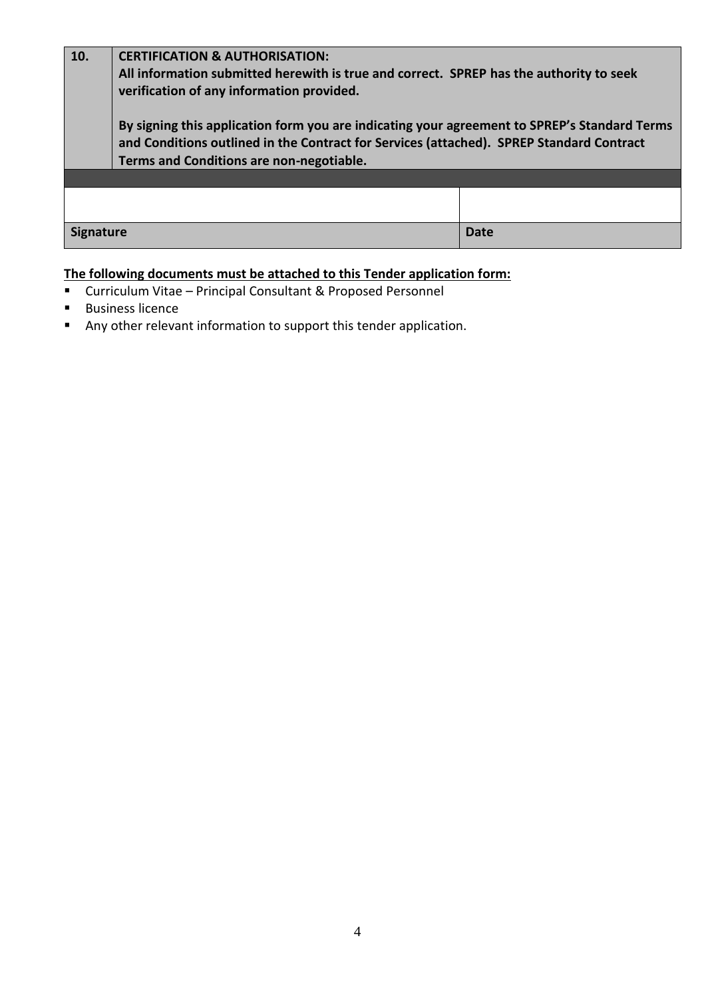| 10.              | <b>CERTIFICATION &amp; AUTHORISATION:</b><br>All information submitted herewith is true and correct. SPREP has the authority to seek                                                                                                                                              |             |  |  |
|------------------|-----------------------------------------------------------------------------------------------------------------------------------------------------------------------------------------------------------------------------------------------------------------------------------|-------------|--|--|
|                  | verification of any information provided.<br>By signing this application form you are indicating your agreement to SPREP's Standard Terms<br>and Conditions outlined in the Contract for Services (attached). SPREP Standard Contract<br>Terms and Conditions are non-negotiable. |             |  |  |
|                  |                                                                                                                                                                                                                                                                                   |             |  |  |
|                  |                                                                                                                                                                                                                                                                                   |             |  |  |
| <b>Signature</b> |                                                                                                                                                                                                                                                                                   | <b>Date</b> |  |  |

# **The following documents must be attached to this Tender application form:**

- Curriculum Vitae Principal Consultant & Proposed Personnel
- Business licence
- Any other relevant information to support this tender application.